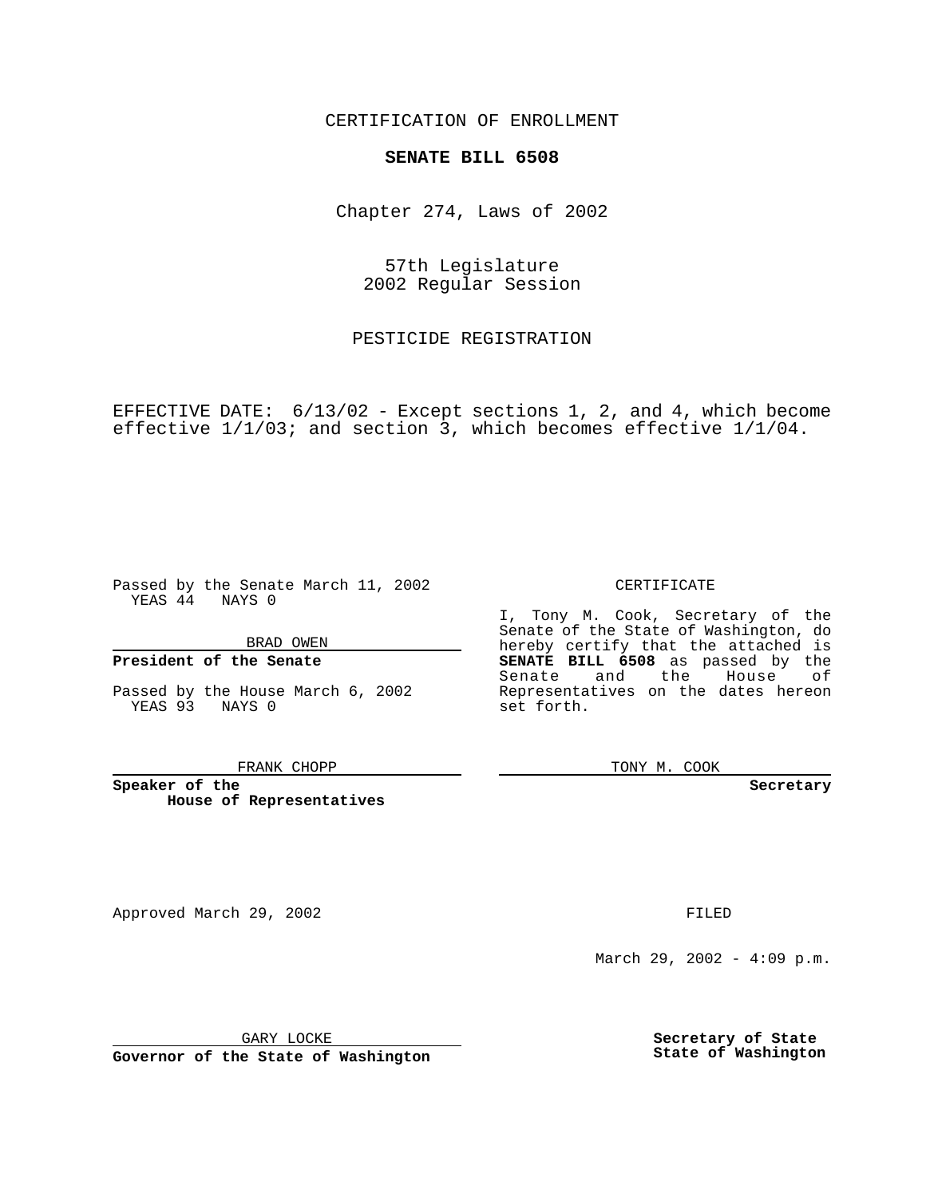CERTIFICATION OF ENROLLMENT

# **SENATE BILL 6508**

Chapter 274, Laws of 2002

57th Legislature 2002 Regular Session

PESTICIDE REGISTRATION

EFFECTIVE DATE: 6/13/02 - Except sections 1, 2, and 4, which become effective 1/1/03; and section 3, which becomes effective 1/1/04.

Passed by the Senate March 11, 2002 YEAS 44 NAYS 0

BRAD OWEN

### **President of the Senate**

Passed by the House March 6, 2002 YEAS 93 NAYS 0

#### FRANK CHOPP

**Speaker of the House of Representatives**

March 29, 2002 - 4:09 p.m.

GARY LOCKE

**Governor of the State of Washington**

**Secretary of State State of Washington**

CERTIFICATE

I, Tony M. Cook, Secretary of the Senate of the State of Washington, do hereby certify that the attached is **SENATE BILL 6508** as passed by the Senate and the House of Representatives on the dates hereon set forth.

TONY M. COOK

**Secretary**

Approved March 29, 2002 **FILED**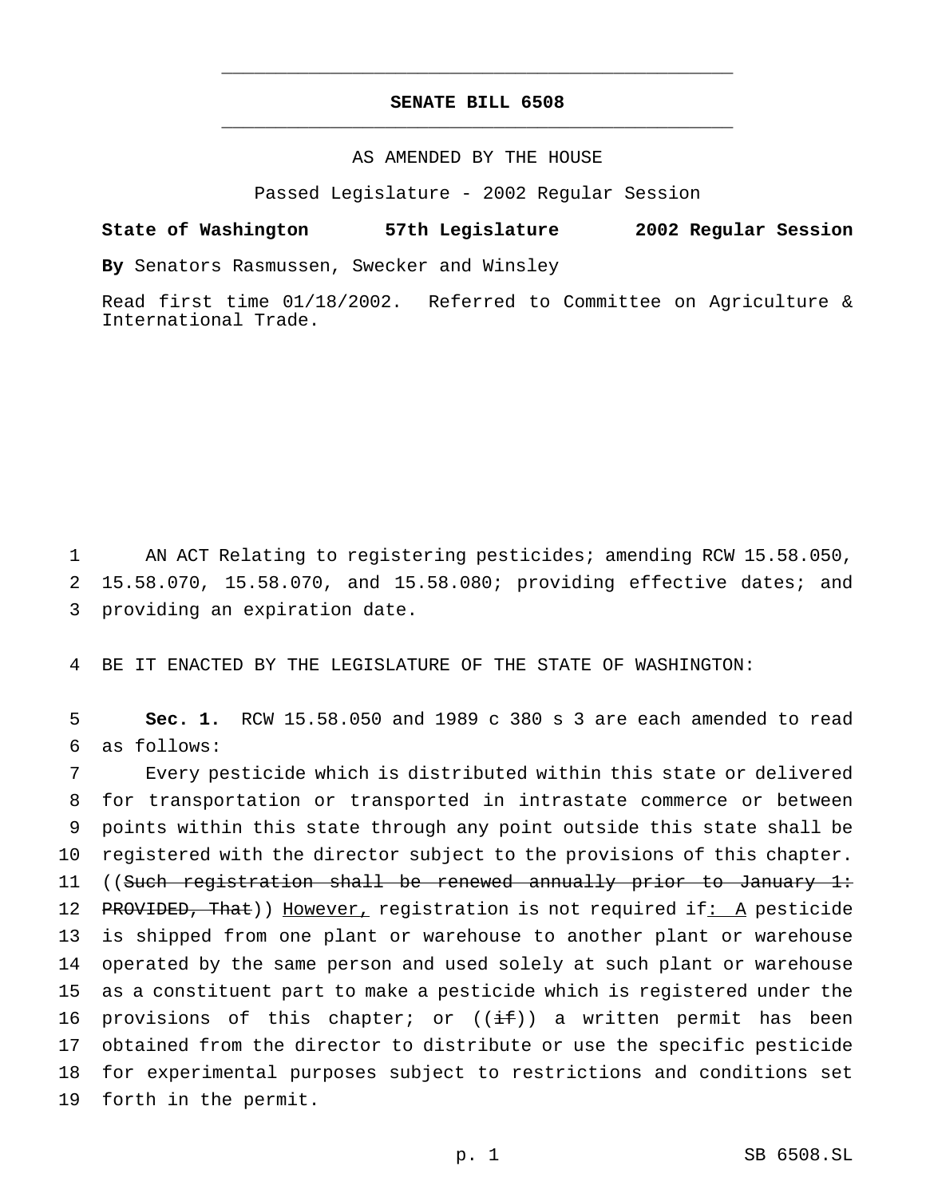## **SENATE BILL 6508** \_\_\_\_\_\_\_\_\_\_\_\_\_\_\_\_\_\_\_\_\_\_\_\_\_\_\_\_\_\_\_\_\_\_\_\_\_\_\_\_\_\_\_\_\_\_\_

\_\_\_\_\_\_\_\_\_\_\_\_\_\_\_\_\_\_\_\_\_\_\_\_\_\_\_\_\_\_\_\_\_\_\_\_\_\_\_\_\_\_\_\_\_\_\_

## AS AMENDED BY THE HOUSE

Passed Legislature - 2002 Regular Session

#### **State of Washington 57th Legislature 2002 Regular Session**

**By** Senators Rasmussen, Swecker and Winsley

Read first time 01/18/2002. Referred to Committee on Agriculture & International Trade.

1 AN ACT Relating to registering pesticides; amending RCW 15.58.050, 2 15.58.070, 15.58.070, and 15.58.080; providing effective dates; and 3 providing an expiration date.

4 BE IT ENACTED BY THE LEGISLATURE OF THE STATE OF WASHINGTON:

5 **Sec. 1.** RCW 15.58.050 and 1989 c 380 s 3 are each amended to read 6 as follows:

 Every pesticide which is distributed within this state or delivered for transportation or transported in intrastate commerce or between points within this state through any point outside this state shall be registered with the director subject to the provisions of this chapter. ((Such registration shall be renewed annually prior to January 1: 12 PROVIDED, That)) However, registration is not required if: A pesticide is shipped from one plant or warehouse to another plant or warehouse operated by the same person and used solely at such plant or warehouse as a constituent part to make a pesticide which is registered under the 16 provisions of this chapter; or  $((\pm f))$  a written permit has been obtained from the director to distribute or use the specific pesticide for experimental purposes subject to restrictions and conditions set forth in the permit.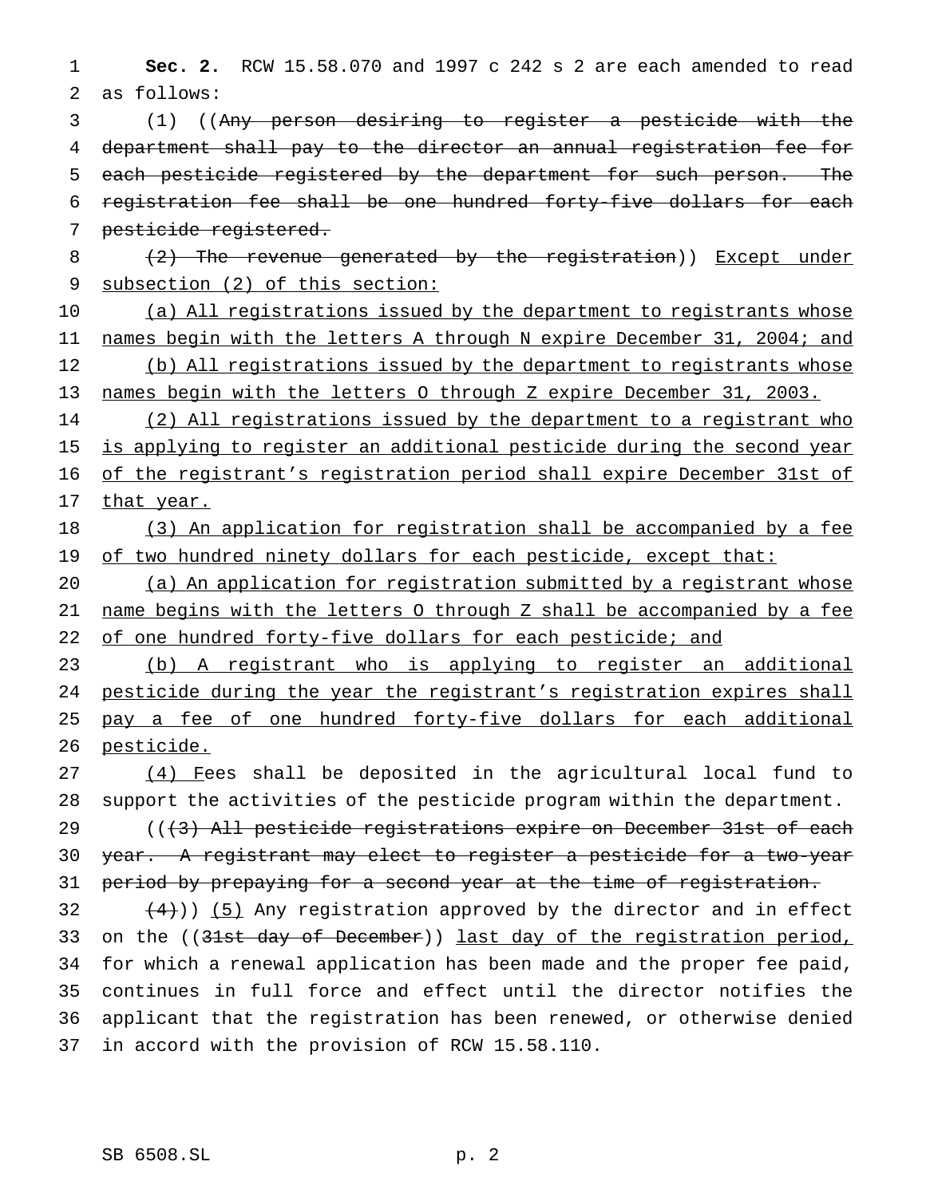1 **Sec. 2.** RCW 15.58.070 and 1997 c 242 s 2 are each amended to read 2 as follows:

 (1) ((Any person desiring to register a pesticide with the department shall pay to the director an annual registration fee for each pesticide registered by the department for such person. The registration fee shall be one hundred forty-five dollars for each pesticide registered.

8 (2) The revenue generated by the registration)) Except under 9 subsection (2) of this section:

10 (a) All registrations issued by the department to registrants whose 11 names begin with the letters A through N expire December 31, 2004; and 12 (b) All registrations issued by the department to registrants whose 13 names begin with the letters O through Z expire December 31, 2003.

14 (2) All registrations issued by the department to a registrant who 15 is applying to register an additional pesticide during the second year 16 of the registrant's registration period shall expire December 31st of 17 that year.

18 (3) An application for registration shall be accompanied by a fee 19 of two hundred ninety dollars for each pesticide, except that:

20 (a) An application for registration submitted by a registrant whose 21 name begins with the letters O through Z shall be accompanied by a fee 22 of one hundred forty-five dollars for each pesticide; and

23 (b) A registrant who is applying to register an additional 24 pesticide during the year the registrant's registration expires shall 25 pay a fee of one hundred forty-five dollars for each additional 26 pesticide.

27 (4) Fees shall be deposited in the agricultural local fund to 28 support the activities of the pesticide program within the department.

29 (((3) All pesticide registrations expire on December 31st of each 30 year. A registrant may elect to register a pesticide for a two-year 31 period by prepaying for a second year at the time of registration.

 $(4)$ )) (5) Any registration approved by the director and in effect 33 on the ((31st day of December)) last day of the registration period, for which a renewal application has been made and the proper fee paid, continues in full force and effect until the director notifies the applicant that the registration has been renewed, or otherwise denied in accord with the provision of RCW 15.58.110.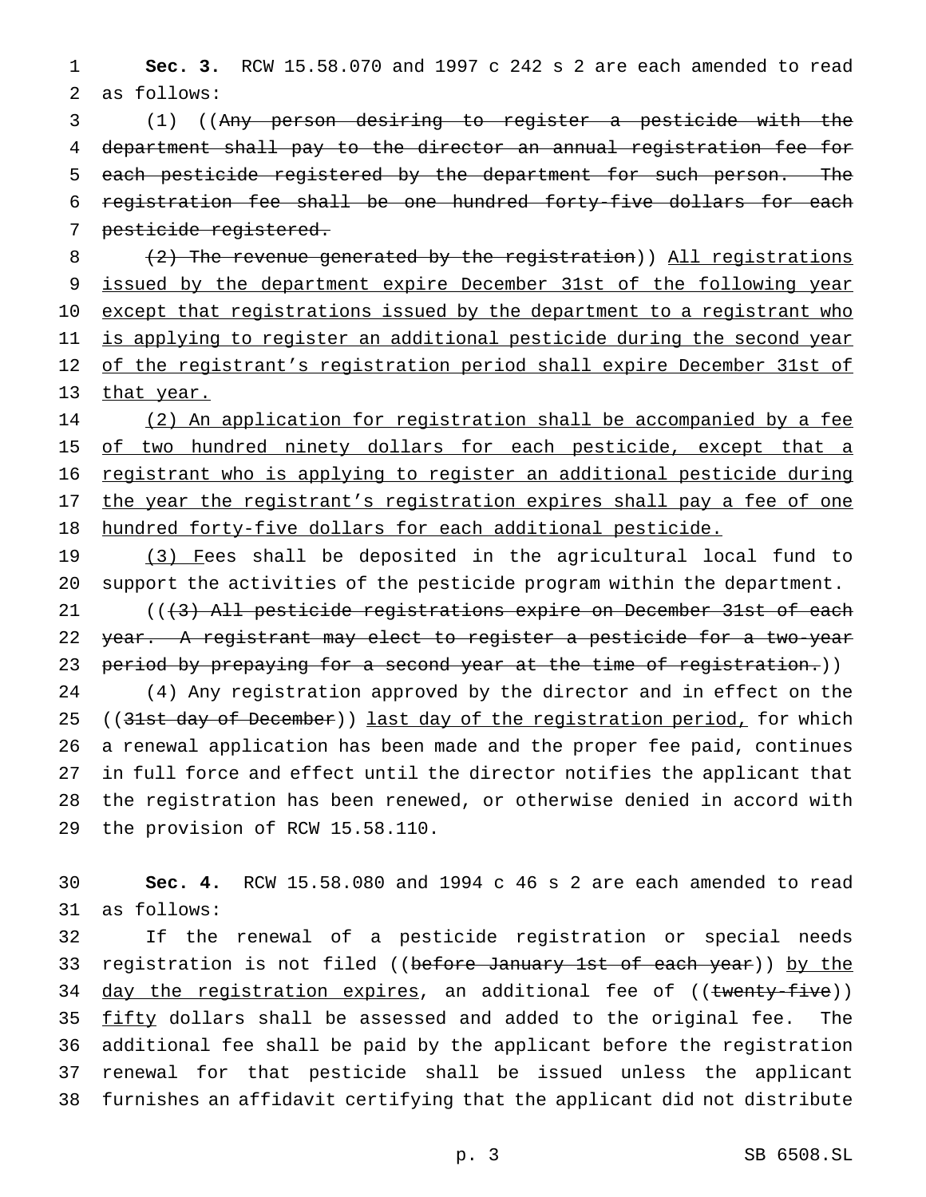1 **Sec. 3.** RCW 15.58.070 and 1997 c 242 s 2 are each amended to read 2 as follows:

 (1) ((Any person desiring to register a pesticide with the department shall pay to the director an annual registration fee for each pesticide registered by the department for such person. The registration fee shall be one hundred forty-five dollars for each pesticide registered.

8 (2) The revenue generated by the registration)) All registrations 9 issued by the department expire December 31st of the following year 10 except that registrations issued by the department to a registrant who 11 is applying to register an additional pesticide during the second year 12 of the registrant's registration period shall expire December 31st of 13 that year.

14 (2) An application for registration shall be accompanied by a fee 15 of two hundred ninety dollars for each pesticide, except that a 16 registrant who is applying to register an additional pesticide during 17 the year the registrant's registration expires shall pay a fee of one 18 hundred forty-five dollars for each additional pesticide.

19 (3) Fees shall be deposited in the agricultural local fund to 20 support the activities of the pesticide program within the department.

21 (((3) All pesticide registrations expire on December 31st of each 22 year. A registrant may elect to register a pesticide for a two-year 23 period by prepaying for a second year at the time of registration.))

 (4) Any registration approved by the director and in effect on the 25 ((31st day of December)) last day of the registration period, for which a renewal application has been made and the proper fee paid, continues in full force and effect until the director notifies the applicant that the registration has been renewed, or otherwise denied in accord with the provision of RCW 15.58.110.

30 **Sec. 4.** RCW 15.58.080 and 1994 c 46 s 2 are each amended to read 31 as follows:

32 If the renewal of a pesticide registration or special needs 33 registration is not filed ((before January 1st of each year)) by the 34 day the registration expires, an additional fee of ((twenty-five)) 35 fifty dollars shall be assessed and added to the original fee. The 36 additional fee shall be paid by the applicant before the registration 37 renewal for that pesticide shall be issued unless the applicant 38 furnishes an affidavit certifying that the applicant did not distribute